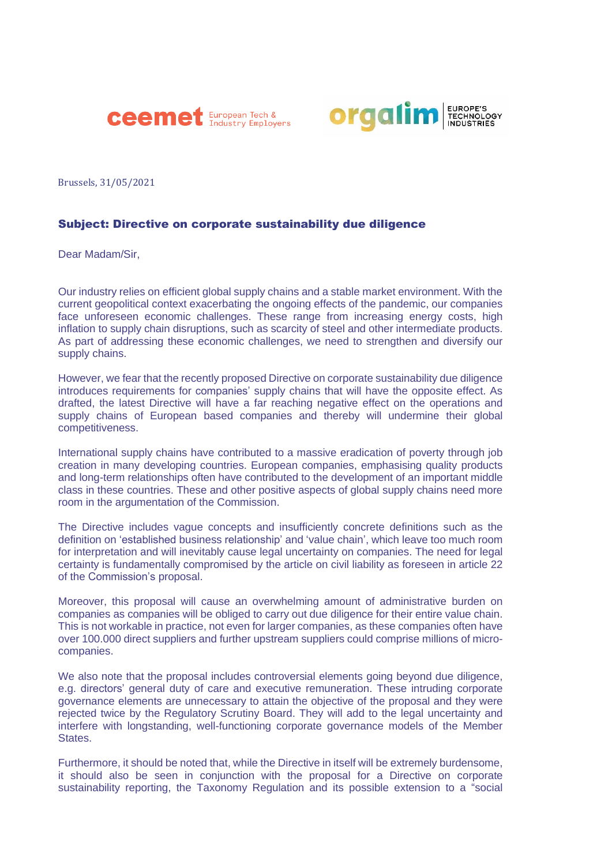



Brussels, 31/05/2021

## Subject: Directive on corporate sustainability due diligence

Dear Madam/Sir,

Our industry relies on efficient global supply chains and a stable market environment. With the current geopolitical context exacerbating the ongoing effects of the pandemic, our companies face unforeseen economic challenges. These range from increasing energy costs, high inflation to supply chain disruptions, such as scarcity of steel and other intermediate products. As part of addressing these economic challenges, we need to strengthen and diversify our supply chains.

However, we fear that the recently proposed Directive on corporate sustainability due diligence introduces requirements for companies' supply chains that will have the opposite effect. As drafted, the latest Directive will have a far reaching negative effect on the operations and supply chains of European based companies and thereby will undermine their global competitiveness.

International supply chains have contributed to a massive eradication of poverty through job creation in many developing countries. European companies, emphasising quality products and long-term relationships often have contributed to the development of an important middle class in these countries. These and other positive aspects of global supply chains need more room in the argumentation of the Commission.

The Directive includes vague concepts and insufficiently concrete definitions such as the definition on 'established business relationship' and 'value chain', which leave too much room for interpretation and will inevitably cause legal uncertainty on companies. The need for legal certainty is fundamentally compromised by the article on civil liability as foreseen in article 22 of the Commission's proposal.

Moreover, this proposal will cause an overwhelming amount of administrative burden on companies as companies will be obliged to carry out due diligence for their entire value chain. This is not workable in practice, not even for larger companies, as these companies often have over 100.000 direct suppliers and further upstream suppliers could comprise millions of microcompanies.

We also note that the proposal includes controversial elements going beyond due diligence, e.g. directors' general duty of care and executive remuneration. These intruding corporate governance elements are unnecessary to attain the objective of the proposal and they were rejected twice by the Regulatory Scrutiny Board. They will add to the legal uncertainty and interfere with longstanding, well-functioning corporate governance models of the Member **States** 

Furthermore, it should be noted that, while the Directive in itself will be extremely burdensome, it should also be seen in conjunction with the proposal for a Directive on corporate sustainability reporting, the Taxonomy Regulation and its possible extension to a "social